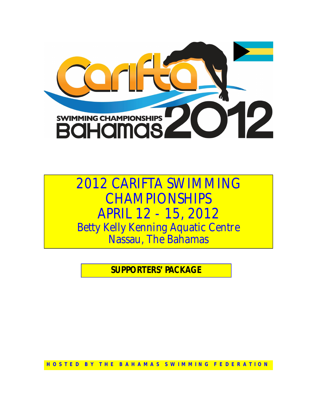

# *2012 CARIFTA SWIMMING CHAMPIONSHIPS APRIL 12 - 15, 2012 Betty Kelly Kenning Aquatic Centre Nassau, The Bahamas*

**SUPPORTERS' PACKAGE**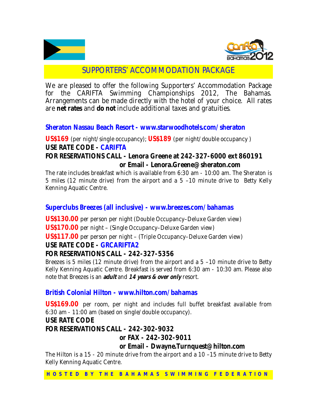



## SUPPORTERS' ACCOMMODATION PACKAGE

We are pleased to offer the following Supporters' Accommodation Package for the CARIFTA Swimming Championships 2012, The Bahamas. Arrangements can be made directly with the hotel of your choice. All rates are **net rates** and **do not** include additional taxes and gratuities.

#### **Sheraton Nassau Beach Resort - www.starwoodhotels.com/sheraton**

**US\$169** *(per night/single occupancy);* **US\$189** *(per night/double occupancy )* **USE RATE CODE - CARIFTA**

#### **FOR RESERVATIONS CALL - Lenora Greene at 242-327-6000 ext 860191 or Email - Lenora.Greene@sheraton.com**

*The rate includes breakfast which is available from 6:30 am - 10:00 am. The Sheraton is 5 miles (12 minute drive) from the airport and a 5 –10 minute drive to Betty Kelly Kenning Aquatic Centre.*

#### **Superclubs Breezes (all inclusive) - www.breezes.com/bahamas**

**US\$130.00** *per person per night* (Double Occupancy–Deluxe Garden view)

**US\$170.00** *per night* – (Single Occupancy–Deluxe Garden view)

**US\$117.00** *per person per night* – (Triple Occupancy–Deluxe Garden view)

#### **USE RATE CODE - GRCARIFTA2**

## **FOR RESERVATIONS CALL - 242-327-5356**

*Breezes is 5 miles (12 minute drive) from the airport and a 5 –10 minute drive to Betty Kelly Kenning Aquatic Centre. Breakfast is served from 6:30 am - 10:30 am. Please also note that Breezes is an adult and <sup>14</sup> years & over only resort.*

## **British Colonial Hilton - www.hilton.com/bahamas**

**US\$169.00** *per room, per night and includes full buffet breakfast available from 6:30 am - 11:00 am* (based on single/double occupancy).

#### **USE RATE CODE**

#### **FOR RESERVATIONS CALL - 242-302-9032**

#### **or FAX - 242-302-9011**

#### **or Email - Dwayne.Turnquest@hilton.com**

The Hilton is a 15 - 20 minute drive from the airport and a 10 –15 minute drive to Betty *Kelly Kenning Aquatic Centre.*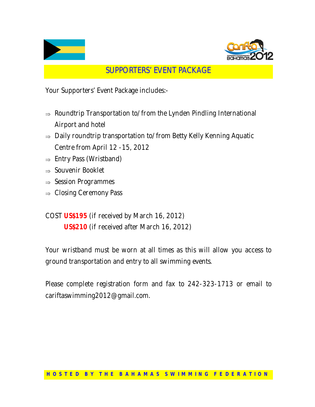



# SUPPORTERS' EVENT PACKAGE

Your Supporters' Event Package includes:-

- $\Rightarrow$  Roundtrip Transportation to/from the Lynden Pindling International Airport and hotel
- $\Rightarrow$  Daily roundtrip transportation to/from Betty Kelly Kenning Aquatic Centre from April 12 -15, 2012
- $\Rightarrow$  Entry Pass (Wristband)
- $\Rightarrow$  Souvenir Booklet
- $\Rightarrow$  Session Programmes
- $\Rightarrow$  Closing Ceremony Pass

COST **US\$195** (if received by March 16, 2012) **US\$210** (if received after March 16, 2012)

Your wristband must be worn at all times as this will allow you access to ground transportation and entry to all swimming events.

Please complete registration form and fax to 242-323-1713 or email to cariftaswimming2012@gmail.com.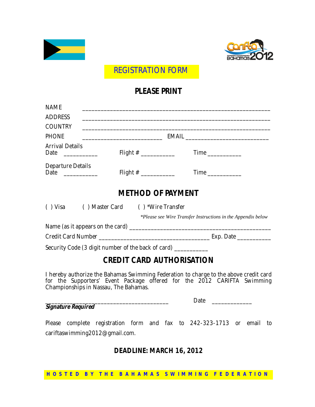



REGISTRATION FORM

## **PLEASE PRINT**

| <b>NAME</b>                                  |                                                                |                                                                                                                                                             |
|----------------------------------------------|----------------------------------------------------------------|-------------------------------------------------------------------------------------------------------------------------------------------------------------|
| <b>ADDRESS</b>                               |                                                                |                                                                                                                                                             |
| <b>COUNTRY</b>                               |                                                                |                                                                                                                                                             |
| <b>PHONE</b>                                 |                                                                |                                                                                                                                                             |
| <b>Arrival Details</b><br>Date _____________ | Flight # _______________                                       |                                                                                                                                                             |
| Departure Details<br>Date ____________       | Flight $\#$ _______________                                    |                                                                                                                                                             |
|                                              | <b>METHOD OF PAYMENT</b>                                       |                                                                                                                                                             |
|                                              | () Visa () Master Card () *Wire Transfer                       | *Please see Wire Transfer Instructions in the Appendix below                                                                                                |
|                                              |                                                                |                                                                                                                                                             |
|                                              |                                                                |                                                                                                                                                             |
|                                              | Security Code (3 digit number of the back of card) ___________ |                                                                                                                                                             |
|                                              | <b>CREDIT CARD AUTHORISATION</b>                               |                                                                                                                                                             |
|                                              |                                                                | I hereby authorize the Bahamas Swimming Federation to charge to the above credit card<br>for the Compatible Equat Declare officed for the 2012 CADIFTA Code |

for the Supporters' Event Package offered for the 2012 CARIFTA Swimming Championships in Nassau, The Bahamas.

#### *Signature Required*

Date  $\Box$ 

Please complete registration form and fax to 242-323-1713 or email to cariftaswimming2012@gmail.com.

## **DEADLINE: MARCH 16, 2012**